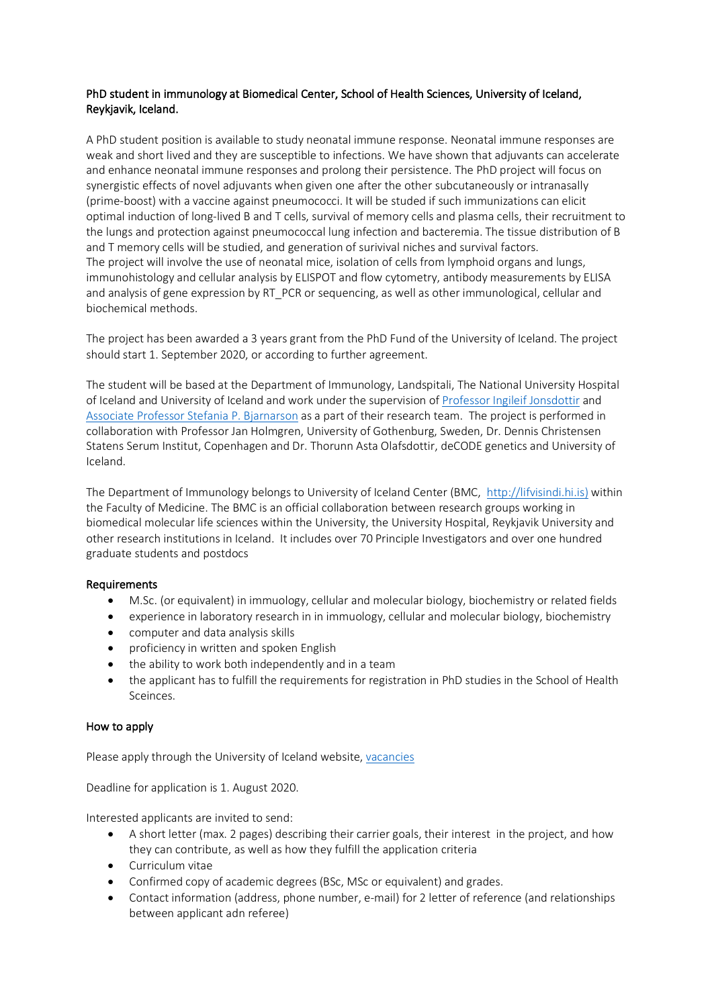## PhD student in immunology at Biomedical Center, School of Health Sciences, University of Iceland, Reykjavik, Iceland.

A PhD student position is available to study neonatal immune response. Neonatal immune responses are weak and short lived and they are susceptible to infections. We have shown that adjuvants can accelerate and enhance neonatal immune responses and prolong their persistence. The PhD project will focus on synergistic effects of novel adjuvants when given one after the other subcutaneously or intranasally (prime-boost) with a vaccine against pneumococci. It will be studed if such immunizations can elicit optimal induction of long-lived B and T cells, survival of memory cells and plasma cells, their recruitment to the lungs and protection against pneumococcal lung infection and bacteremia. The tissue distribution of B and T memory cells will be studied, and generation of surivival niches and survival factors. The project will involve the use of neonatal mice, isolation of cells from lymphoid organs and lungs, immunohistology and cellular analysis by ELISPOT and flow cytometry, antibody measurements by ELISA and analysis of gene expression by RT\_PCR or sequencing, as well as other immunological, cellular and biochemical methods.

The project has been awarded a 3 years grant from the PhD Fund of the University of Iceland. The project should start 1. September 2020, or according to further agreement.

The student will be based at the Department of Immunology, Landspitali, The National University Hospital of Iceland and University of Iceland and work under the supervision of Professor Ingileif Jonsdottir and Associate Professor Stefania P. Bjarnarson as a part of their research team. The project is performed in collaboration with Professor Jan Holmgren, University of Gothenburg, Sweden, Dr. Dennis Christensen Statens Serum Institut, Copenhagen and Dr. Thorunn Asta Olafsdottir, deCODE genetics and University of Iceland.

The Department of Immunology belongs to University of Iceland Center (BMC, http://lifvisindi.hi.is) within the Faculty of Medicine. The BMC is an official collaboration between research groups working in biomedical molecular life sciences within the University, the University Hospital, Reykjavik University and other research institutions in Iceland. It includes over 70 Principle Investigators and over one hundred graduate students and postdocs

## **Requirements**

- M.Sc. (or equivalent) in immuology, cellular and molecular biology, biochemistry or related fields
- experience in laboratory research in in immuology, cellular and molecular biology, biochemistry
- computer and data analysis skills
- proficiency in written and spoken English
- the ability to work both independently and in a team
- the applicant has to fulfill the requirements for registration in PhD studies in the School of Health Sceinces.

## How to apply

Please apply through the University of Iceland website, vacancies

Deadline for application is 1. August 2020.

Interested applicants are invited to send:

- A short letter (max. 2 pages) describing their carrier goals, their interest in the project, and how they can contribute, as well as how they fulfill the application criteria
- Curriculum vitae
- Confirmed copy of academic degrees (BSc, MSc or equivalent) and grades.
- Contact information (address, phone number, e-mail) for 2 letter of reference (and relationships between applicant adn referee)